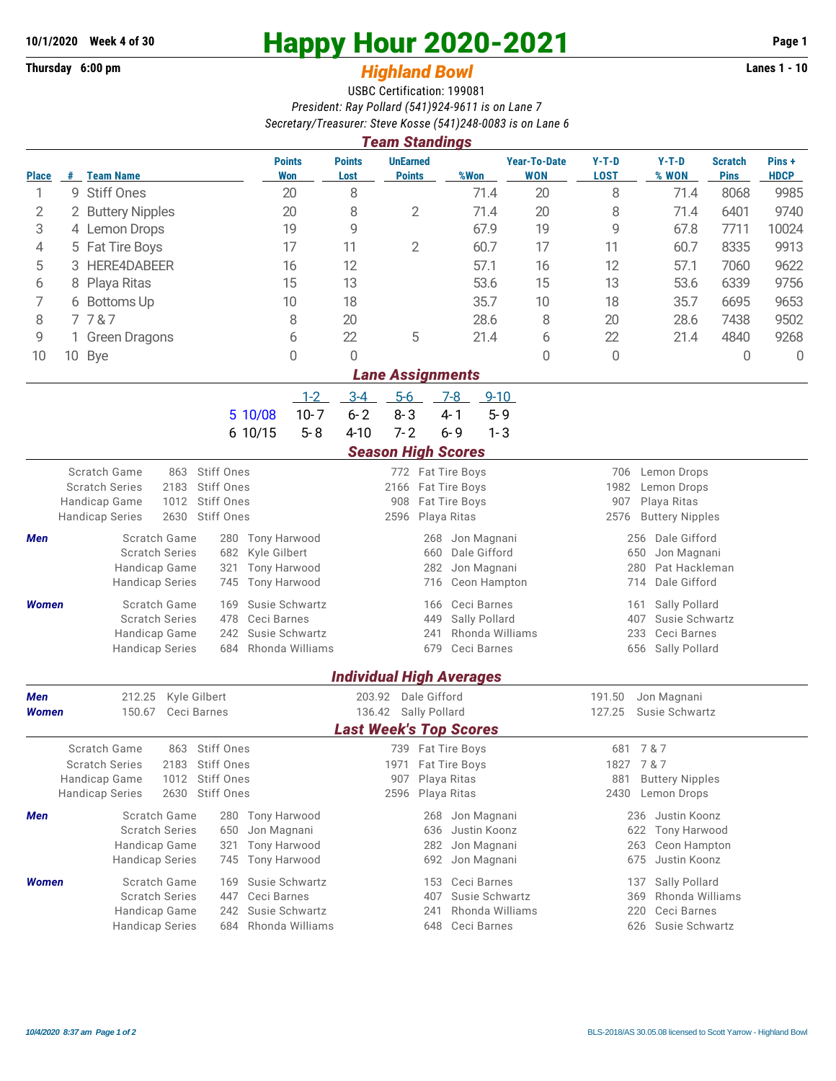## **10/1/2020 Week 4 of 30 Happy Hour 2020-2021 Page 1**

## Thursday 6:00 pm *Highland Bowl* **<b>Fighland Example 2008 Lanes 1 - 10** USBC Certification: 199081 *President: Ray Pollard (541)924-9611 is on Lane 7 Secretary/Treasurer: Steve Kosse (541)248-0083 is on Lane 6*

| <b>Team Standings</b>                                         |              |                                                                                  |                                             |                   |                                                |                                           |                                                   |                                   |                                             |                                                |                               |                      |  |  |
|---------------------------------------------------------------|--------------|----------------------------------------------------------------------------------|---------------------------------------------|-------------------|------------------------------------------------|-------------------------------------------|---------------------------------------------------|-----------------------------------|---------------------------------------------|------------------------------------------------|-------------------------------|----------------------|--|--|
| <b>Place</b>                                                  | #            | <b>Team Name</b>                                                                 | <b>Points</b><br>Won                        |                   | <b>Points</b><br>Lost                          | <b>UnEarned</b><br><b>Points</b>          | %Won                                              | <b>Year-To-Date</b><br><b>WON</b> | $Y-T-D$<br><b>LOST</b>                      | $Y-T-D$<br>% WON                               | <b>Scratch</b><br><b>Pins</b> | Pins+<br><b>HDCP</b> |  |  |
| 1                                                             |              | 9 Stiff Ones                                                                     | 20                                          |                   | 8                                              |                                           | 71.4                                              | 20                                | 8                                           | 71.4                                           | 8068                          | 9985                 |  |  |
| 2                                                             | 2            | <b>Buttery Nipples</b>                                                           |                                             | 20                | $\mathbf{2}$<br>8                              |                                           | 71.4                                              | 20                                | 8                                           | 71.4                                           | 6401                          | 9740                 |  |  |
| 3                                                             |              | 4 Lemon Drops                                                                    |                                             | 19                | 9                                              |                                           | 67.9                                              | 19                                | 9                                           | 67.8                                           | 7711                          | 10024                |  |  |
| 4                                                             |              | 5 Fat Tire Boys                                                                  |                                             | 17                | $\overline{2}$<br>11                           |                                           | 60.7                                              | 17                                | 11                                          | 60.7                                           | 8335                          | 9913                 |  |  |
| 5                                                             | 3            | HERE4DABEER                                                                      |                                             | 16                | 12                                             |                                           | 57.1                                              | 16                                | 12                                          | 57.1<br>7060                                   |                               | 9622                 |  |  |
| 6                                                             | 8            | Playa Ritas                                                                      |                                             | 15                | 13                                             |                                           | 53.6                                              | 15                                | 13                                          | 53.6                                           | 6339                          | 9756                 |  |  |
| 7                                                             | 6 Bottoms Up |                                                                                  |                                             | 10                | 18                                             |                                           | 35.7                                              | 10                                | 18                                          | 35.7                                           | 6695                          | 9653                 |  |  |
| 8                                                             | 7787         |                                                                                  |                                             | 8                 | 20                                             |                                           | 28.6                                              | 8                                 | 20                                          | 28.6                                           | 7438                          | 9502                 |  |  |
| 9                                                             |              | 6<br>1 Green Dragons                                                             |                                             |                   | 5<br>22                                        |                                           | 21.4                                              | 6                                 | 22                                          | 21.4                                           | 4840                          | 9268                 |  |  |
| 10                                                            |              | 10 Bye                                                                           |                                             | 0                 | 0                                              |                                           |                                                   | 0                                 | $\mathbf 0$                                 |                                                | 0                             | $\Omega$             |  |  |
| <b>Lane Assignments</b><br>$9 - 10$                           |              |                                                                                  |                                             |                   |                                                |                                           |                                                   |                                   |                                             |                                                |                               |                      |  |  |
|                                                               |              |                                                                                  | 5 10/08                                     | $1 - 2$<br>$10-7$ | $3-4$<br>$6 - 2$                               | $5-6$<br>$8 - 3$                          | $7 - 8$<br>$4 - 1$<br>$5 - 9$                     |                                   |                                             |                                                |                               |                      |  |  |
|                                                               |              |                                                                                  | 6 10/15                                     | $5 - 8$           | $4 - 10$                                       | $7 - 2$                                   | $6 - 9$<br>$1 - 3$                                |                                   |                                             |                                                |                               |                      |  |  |
| <b>Season High Scores</b>                                     |              |                                                                                  |                                             |                   |                                                |                                           |                                                   |                                   |                                             |                                                |                               |                      |  |  |
|                                                               |              | Scratch Game<br>863                                                              | Stiff Ones                                  |                   |                                                |                                           | 772 Fat Tire Boys                                 |                                   | 706<br>Lemon Drops                          |                                                |                               |                      |  |  |
|                                                               |              | <b>Scratch Series</b><br>2183                                                    | Stiff Ones                                  |                   |                                                |                                           | 2166 Fat Tire Boys                                |                                   | 1982<br>Lemon Drops                         |                                                |                               |                      |  |  |
|                                                               |              | 1012<br>Handicap Game                                                            | Stiff Ones                                  |                   |                                                | 908<br>Fat Tire Boys<br>Playa Ritas       |                                                   |                                   | 907<br>Playa Ritas<br>2576                  |                                                |                               |                      |  |  |
| 2630<br>Stiff Ones<br><b>Handicap Series</b>                  |              |                                                                                  |                                             |                   |                                                | 2596                                      |                                                   |                                   | <b>Buttery Nipples</b>                      |                                                |                               |                      |  |  |
| Men                                                           |              | Scratch Game<br>280 Tony Harwood<br><b>Scratch Series</b><br>Kyle Gilbert<br>682 |                                             |                   |                                                | Jon Magnani<br>268<br>660<br>Dale Gifford |                                                   |                                   | 256 Dale Gifford<br>650<br>Jon Magnani      |                                                |                               |                      |  |  |
|                                                               |              | Handicap Game<br>321                                                             |                                             | Tony Harwood      |                                                | 282<br>Jon Magnani                        |                                                   |                                   | Pat Hackleman<br>280                        |                                                |                               |                      |  |  |
|                                                               |              | <b>Handicap Series</b><br>745                                                    |                                             | Tony Harwood      |                                                | 716                                       | Ceon Hampton                                      |                                   | Dale Gifford<br>714                         |                                                |                               |                      |  |  |
| <b>Women</b>                                                  |              | Scratch Game                                                                     | Susie Schwartz<br>169                       |                   |                                                | 166                                       | Ceci Barnes                                       |                                   |                                             | Sally Pollard<br>161                           |                               |                      |  |  |
|                                                               |              | <b>Scratch Series</b>                                                            | 478<br>Ceci Barnes<br>Susie Schwartz<br>242 |                   | Sally Pollard<br>449<br>Rhonda Williams<br>241 |                                           |                                                   |                                   | 407<br>Susie Schwartz<br>Ceci Barnes<br>233 |                                                |                               |                      |  |  |
|                                                               |              | Handicap Game<br><b>Handicap Series</b>                                          | Rhonda Williams<br>684                      |                   |                                                | 679                                       | Ceci Barnes                                       |                                   | 656 Sally Pollard                           |                                                |                               |                      |  |  |
|                                                               |              |                                                                                  |                                             |                   |                                                |                                           |                                                   |                                   |                                             |                                                |                               |                      |  |  |
|                                                               |              |                                                                                  |                                             |                   |                                                |                                           | <b>Individual High Averages</b>                   |                                   |                                             |                                                |                               |                      |  |  |
| 212.25<br>Kyle Gilbert<br><b>Men</b><br>150.67<br>Ceci Barnes |              |                                                                                  | 203.92 Dale Gifford<br>136.42 Sally Pollard |                   |                                                |                                           | 191.50<br>Jon Magnani<br>127.25<br>Susie Schwartz |                                   |                                             |                                                |                               |                      |  |  |
| <b>Women</b><br><b>Last Week's Top Scores</b>                 |              |                                                                                  |                                             |                   |                                                |                                           |                                                   |                                   |                                             |                                                |                               |                      |  |  |
|                                                               |              | Scratch Game<br>863                                                              | Stiff Ones                                  |                   |                                                |                                           | 739 Fat Tire Boys                                 |                                   | 7 & 7<br>681                                |                                                |                               |                      |  |  |
|                                                               |              | <b>Scratch Series</b><br>2183<br><b>Stiff Ones</b>                               |                                             |                   |                                                | 1971                                      | Fat Tire Boys                                     |                                   | 7 & 7<br>1827                               |                                                |                               |                      |  |  |
|                                                               |              | Stiff Ones<br>Handicap Game<br>1012<br>2630<br><b>Stiff Ones</b>                 |                                             |                   |                                                | 907                                       | Playa Ritas                                       |                                   | <b>Buttery Nipples</b><br>881               |                                                |                               |                      |  |  |
| <b>Handicap Series</b><br>Playa Ritas<br>2596<br>2430         |              |                                                                                  |                                             |                   |                                                |                                           |                                                   |                                   | Lemon Drops                                 |                                                |                               |                      |  |  |
| Men                                                           |              | Scratch Game<br><b>Scratch Series</b>                                            | 280<br>Tony Harwood<br>Jon Magnani<br>650   |                   |                                                | 268<br>636                                | Jon Magnani<br>Justin Koonz                       |                                   |                                             | 236 Justin Koonz<br><b>Tony Harwood</b><br>622 |                               |                      |  |  |
|                                                               |              | Handicap Game                                                                    | <b>Tony Harwood</b><br>321                  |                   | 282<br>Jon Magnani                             |                                           |                                                   |                                   |                                             | Ceon Hampton<br>263                            |                               |                      |  |  |
|                                                               |              | <b>Handicap Series</b>                                                           | <b>Tony Harwood</b><br>745                  |                   |                                                | 692                                       | Jon Magnani                                       |                                   |                                             | 675<br>Justin Koonz                            |                               |                      |  |  |
| <b>Women</b>                                                  |              | Scratch Game                                                                     | Susie Schwartz<br>169                       |                   |                                                | 153                                       | Ceci Barnes                                       |                                   |                                             | Sally Pollard<br>137                           |                               |                      |  |  |
|                                                               |              | <b>Scratch Series</b>                                                            | Ceci Barnes<br>447                          |                   | Susie Schwartz<br>407<br>369                   |                                           |                                                   |                                   |                                             | Rhonda Williams<br>Ceci Barnes                 |                               |                      |  |  |
|                                                               |              | Handicap Game                                                                    | Susie Schwartz<br>242<br>Rhonda Williams    |                   |                                                | 241                                       | Rhonda Williams                                   |                                   | 220                                         |                                                |                               |                      |  |  |
|                                                               |              | <b>Handicap Series</b>                                                           | 684                                         |                   | Ceci Barnes<br>648                             |                                           |                                                   |                                   | 626 Susie Schwartz                          |                                                |                               |                      |  |  |